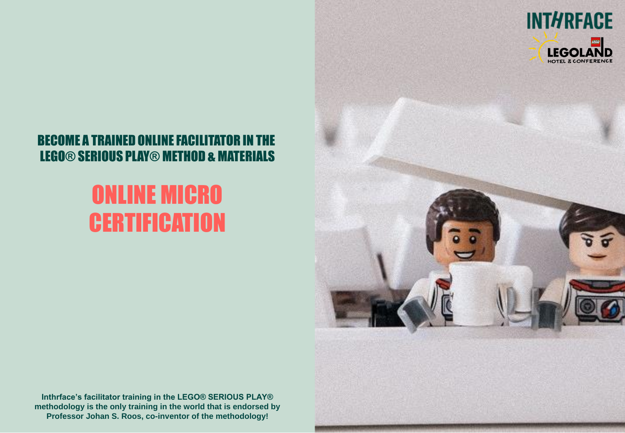

### BECOME A TRAINED ONLINE FACILITATOR IN THE LEGO® SERIOUS PLAY® METHOD & MATERIALS

## ONLINE MICRO **CERTIFICATION**

**Inthrface's facilitator training in the LEGO® SERIOUS PLAY® methodology is the only training in the world that is endorsed by Professor Johan S. Roos, co-inventor of the methodology!**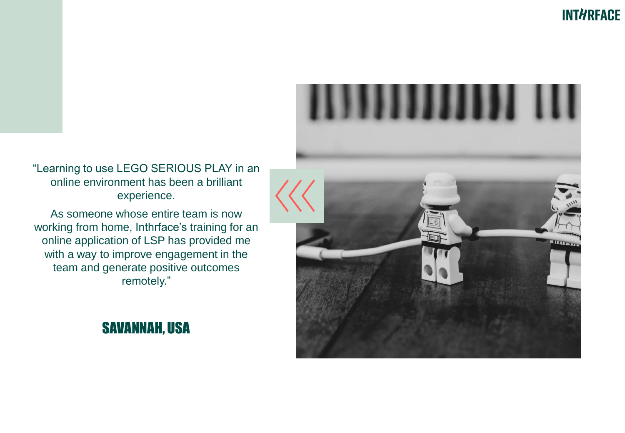

As someone whose entire team is now working from home, Inthrface's training for an online application of LSP has provided me with a way to improve engagement in the team and generate positive outcomes remotely."



## SAVANNAH, USA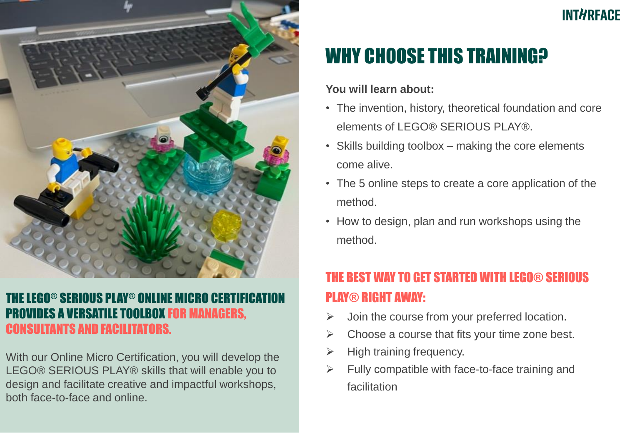

#### THE LEGO® SERIOUS PLAY® ONLINE MICRO CERTIFIC PROVIDES A VERSATILE TOOLBOX FOR MANAGERS, CONSULTANTS AND FACILITATORS.

With our Online Micro Certification, you will develop the LEGO® SERIOUS PLAY® skills that will enable you to design and facilitate creative and impactful workshops, both face-to-face and online.

## **INTHREACE**

## WHY CHOOSE THIS TRAINING?

#### **You will learn about:**

- The invention, history, theoretical foundation and core elements of LEGO® SERIOUS PLAY®.
- Skills building toolbox making the core elements come alive.
- The 5 online steps to create a core application of the method.
- How to design, plan and run workshops using the method.

## THE BEST WAY TO GET STARTED WITH LEGO® SERIOUS PLAY® RIGHT AWAY:

- $\triangleright$  Join the course from your preferred location.
- $\triangleright$  Choose a course that fits your time zone best.
- $\triangleright$  High training frequency.
- $\triangleright$  Fully compatible with face-to-face training and facilitation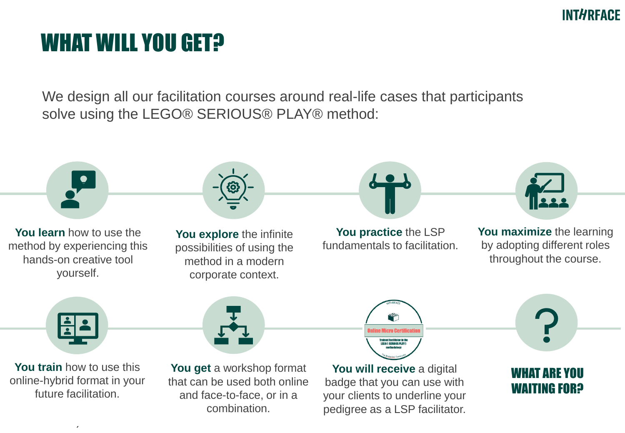### **INTHREACE**

## WHAT WILL YOU GET?

We design all our facilitation courses around real-life cases that participants solve using the LEGO® SERIOUS® PLAY® method:

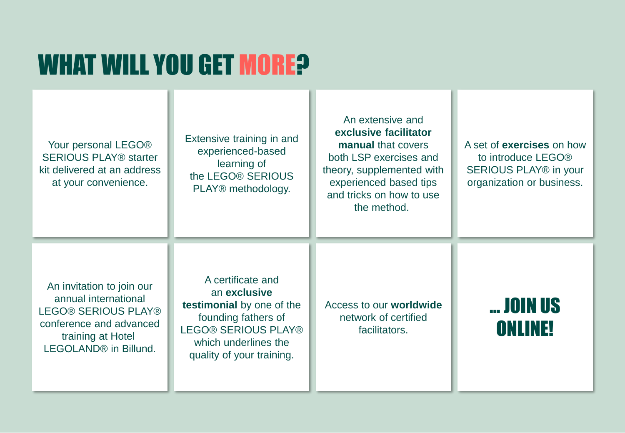# WHAT WILL YOU GET MORE?

| Your personal LEGO <sup>®</sup><br><b>SERIOUS PLAY® starter</b><br>kit delivered at an address<br>at your convenience.                                        | Extensive training in and<br>experienced-based<br>learning of<br>the LEGO® SERIOUS<br>PLAY® methodology.                                                                 | An extensive and<br>exclusive facilitator<br>manual that covers<br>both LSP exercises and<br>theory, supplemented with<br>experienced based tips<br>and tricks on how to use<br>the method. | A set of <b>exercises</b> on how<br>to introduce LEGO®<br>SERIOUS PLAY® in your<br>organization or business. |
|---------------------------------------------------------------------------------------------------------------------------------------------------------------|--------------------------------------------------------------------------------------------------------------------------------------------------------------------------|---------------------------------------------------------------------------------------------------------------------------------------------------------------------------------------------|--------------------------------------------------------------------------------------------------------------|
| An invitation to join our<br>annual international<br>LEGO® SERIOUS PLAY®<br>conference and advanced<br>training at Hotel<br>LEGOLAND <sup>®</sup> in Billund. | A certificate and<br>an exclusive<br>testimonial by one of the<br>founding fathers of<br><b>LEGO® SERIOUS PLAY®</b><br>which underlines the<br>quality of your training. | Access to our worldwide<br>network of certified<br>facilitators.                                                                                                                            | <b> JOIN US</b><br>ONLINE!                                                                                   |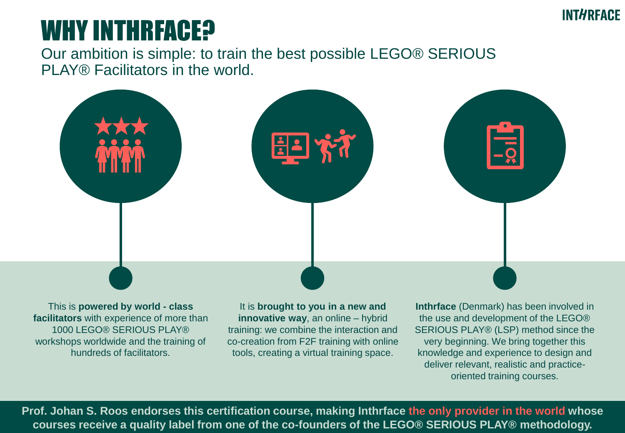## WHY INTHRFACE?

Our ambition is simple: to train the best possible LEGO® SERIOUS PLAY® Facilitators in the world.



This is **powered by world - class facilitators** with experience of more than 1000 LEGO® SERIOUS PLAY® workshops worldwide and the training of hundreds of facilitators.

It is **brought to you in a new and innovative way**, an online – hybrid training: we combine the interaction and co-creation from F2F training with online tools, creating a virtual training space.

**Inthrface** (Denmark) has been involved in the use and development of the LEGO® SERIOUS PLAY® (LSP) method since the very beginning. We bring together this knowledge and experience to design and deliver relevant, realistic and practiceoriented training courses.

**Prof. Johan S. Roos endorses this certification course, making Inthrface the only provider in the world whose courses receive a quality label from one of the co-founders of the LEGO® SERIOUS PLAY® methodology.**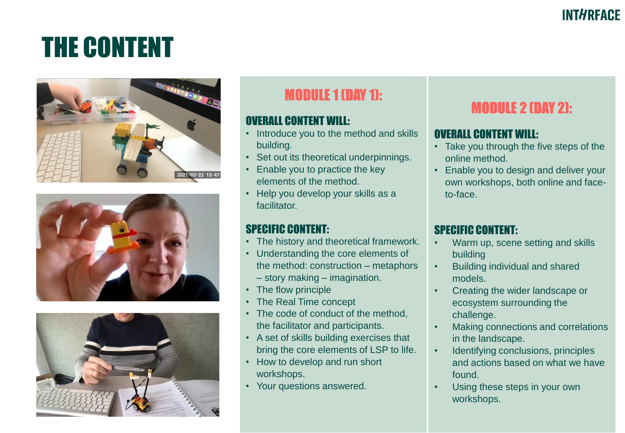# THE CONTENT







## MODULE 1 (DAY 1):

#### OVERALL CONTENT WILL:

- Introduce you to the method and skills building.
- Set out its theoretical underpinnings.
- Enable you to practice the key elements of the method.
- Help you develop your skills as a facilitator.

#### SPECIFIC CONTENT:

- The history and theoretical framework.
- Understanding the core elements of the method: construction – metaphors – story making – imagination.
- The flow principle
- The Real Time concept
- The code of conduct of the method, the facilitator and participants.
- A set of skills building exercises that bring the core elements of LSP to life.
- How to develop and run short workshops.
- Your questions answered.

## MODULE 2 (DAY 2):

#### OVERALL CONTENT WILL:

- Take you through the five steps of the online method.
- Enable you to design and deliver your own workshops, both online and faceto-face.

#### SPECIFIC CONTENT:

- Warm up, scene setting and skills building
- Building individual and shared models.
- Creating the wider landscape or ecosystem surrounding the challenge.
- Making connections and correlations in the landscape.
- Identifying conclusions, principles and actions based on what we have found.
- Using these steps in your own workshops.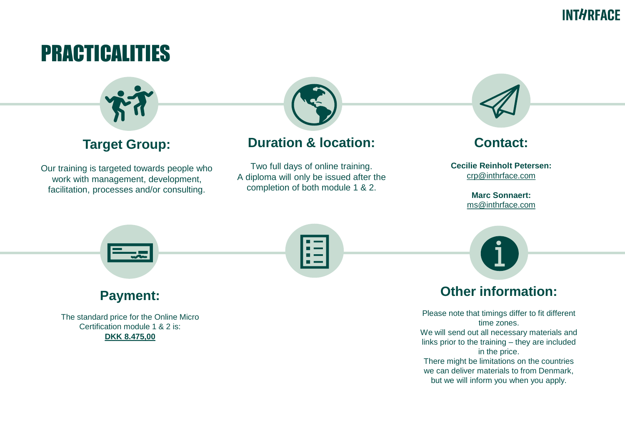## **INTHREACE**

## PRACTICALITIES



#### **Target Group:**

Our training is targeted towards people who work with management, development, facilitation, processes and/or consulting.



### **Duration & location:**

Two full days of online training. A diploma will only be issued after the completion of both module 1 & 2.



#### **Contact:**

**Cecilie Reinholt Petersen:** [crp@inthrface.com](mailto:cfp@inthrface.com)

> **Marc Sonnaert:**  [ms@inthrface.com](mailto:mb@inthrface.com)



in the price. There might be limitations on the countries we can deliver materials to from Denmark, but we will inform you when you apply.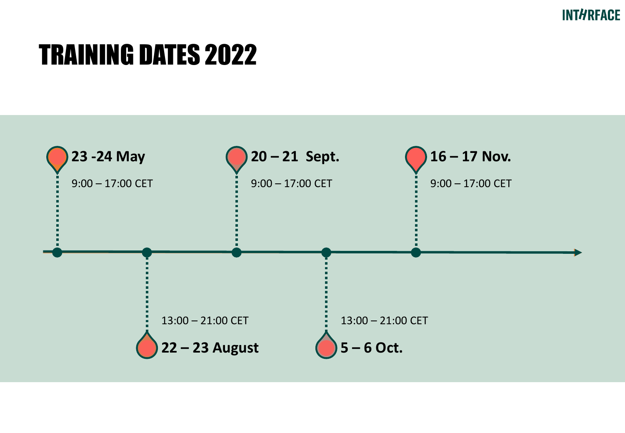# TRAINING DATES 2022

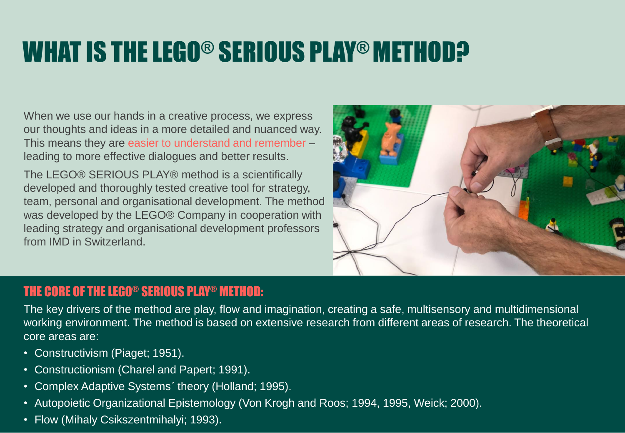# WHAT IS THE LEGO® SERIOUS PLAY® METHOD?

When we use our hands in a creative process, we express our thoughts and ideas in a more detailed and nuanced way. This means they are easier to understand and remember – leading to more effective dialogues and better results.

The LEGO® SERIOUS PLAY® method is a scientifically developed and thoroughly tested creative tool for strategy, team, personal and organisational development. The method was developed by the LEGO® Company in cooperation with leading strategy and organisational development professors from IMD in Switzerland.



#### THE CORE OF THE LEGO® SERIOUS PLAY® METHOD:

The key drivers of the method are play, flow and imagination, creating a safe, multisensory and multidimensional working environment. The method is based on extensive research from different areas of research. The theoretical core areas are:

- Constructivism (Piaget; 1951).
- Constructionism (Charel and Papert; 1991).
- Complex Adaptive Systems´ theory (Holland; 1995).
- Autopoietic Organizational Epistemology (Von Krogh and Roos; 1994, 1995, Weick; 2000).
- Flow (Mihaly Csikszentmihalyi; 1993).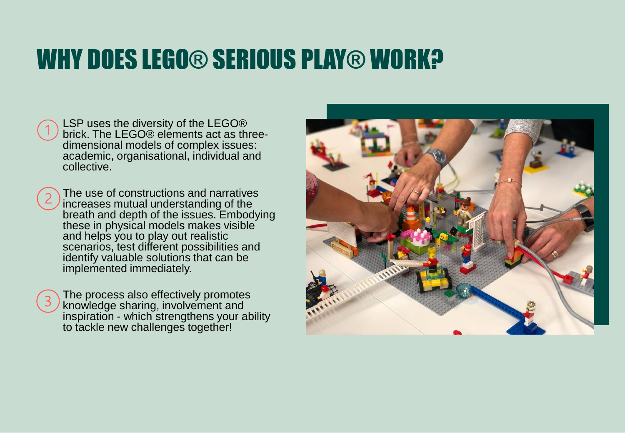# WHY DOES LEGO® SERIOUS PLAY® WORK?

| $\bigcap$ LSP uses the diversity of the LEGO®<br>brick. The LEGO® elements act as three- |
|------------------------------------------------------------------------------------------|
|                                                                                          |
| dimensional models of complex issues:                                                    |
| academic, organisational, individual and                                                 |
| collective.                                                                              |

The use of constructions and narratives increases mutual understanding of the breath and depth of the issues. Embodying these in physical models makes visible and helps you to play out realistic scenarios, test different possibilities and identify valuable solutions that can be implemented immediately.

The process also effectively promotes knowledge sharing, involvement and inspiration - which strengthens your ability to tackle new challenges together!